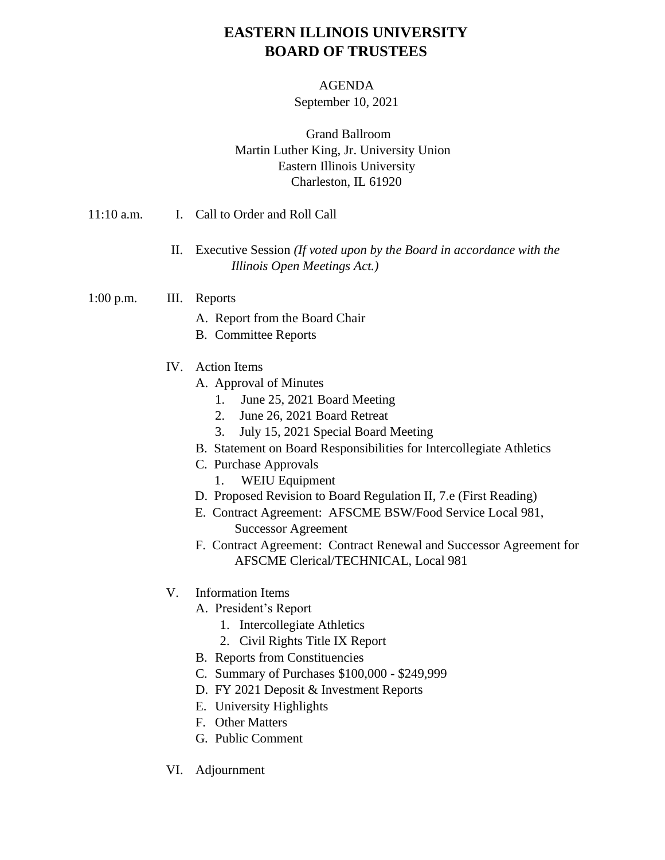# **EASTERN ILLINOIS UNIVERSITY BOARD OF TRUSTEES**

#### AGENDA

### September 10, 2021

### Grand Ballroom Martin Luther King, Jr. University Union Eastern Illinois University Charleston, IL 61920

- 11:10 a.m. I. Call to Order and Roll Call
	- II. Executive Session *(If voted upon by the Board in accordance with the Illinois Open Meetings Act.)*
- 1:00 p.m. III. Reports
	- A. Report from the Board Chair
	- B. Committee Reports
	- IV. Action Items
		- A. Approval of Minutes
			- 1. June 25, 2021 Board Meeting
			- 2. June 26, 2021 Board Retreat
			- 3. July 15, 2021 Special Board Meeting
		- B. Statement on Board Responsibilities for Intercollegiate Athletics
		- C. Purchase Approvals
			- 1. WEIU Equipment
		- D. Proposed Revision to Board Regulation II, 7.e (First Reading)
		- E. Contract Agreement: AFSCME BSW/Food Service Local 981, Successor Agreement
		- F. Contract Agreement: Contract Renewal and Successor Agreement for AFSCME Clerical/TECHNICAL, Local 981
	- V. Information Items
		- A. President's Report
			- 1. Intercollegiate Athletics
			- 2. Civil Rights Title IX Report
		- B. Reports from Constituencies
		- C. Summary of Purchases \$100,000 \$249,999
		- D. FY 2021 Deposit & Investment Reports
		- E. University Highlights
		- F. Other Matters
		- G. Public Comment
	- VI. Adjournment